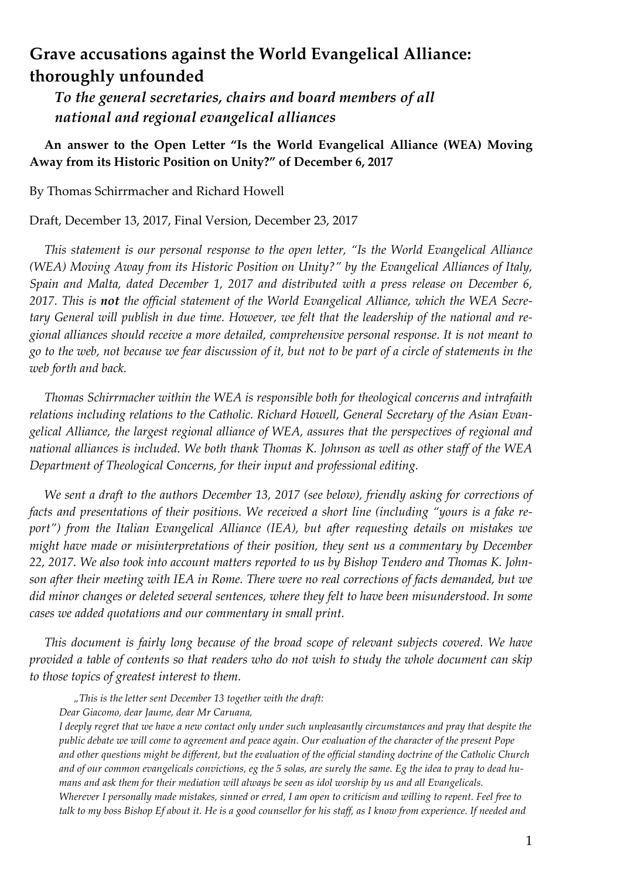# **Grave accusations against the World Evangelical Alliance: thoroughly unfounded**

 *To the general secretaries, chairs and board members of all national and regional evangelical alliances*

### **An answer to the Open Letter "Is the World Evangelical Alliance (WEA) Moving Away from its Historic Position on Unity?" of December 6, 2017**

By Thomas Schirrmacher and Richard Howell

Draft, December 13, 2017, Final Version, December 23, 2017

*This statement is our personal response to the open letter, "Is the World Evangelical Alliance (WEA) Moving Away from its Historic Position on Unity?" by the Evangelical Alliances of Italy, Spain and Malta, dated December 1, 2017 and distributed with a press release on December 6, 2017. This is not the official statement of the World Evangelical Alliance, which the WEA Secretary General will publish in due time. However, we felt that the leadership of the national and regional alliances should receive a more detailed, comprehensive personal response. It is not meant to go to the web, not because we fear discussion of it, but not to be part of a circle of statements in the web forth and back.*

*Thomas Schirrmacher within the WEA is responsible both for theological concerns and intrafaith relations including relations to the Catholic. Richard Howell, General Secretary of the Asian Evangelical Alliance, the largest regional alliance of WEA, assures that the perspectives of regional and national alliances is included. We both thank Thomas K. Johnson as well as other staff of the WEA Department of Theological Concerns, for their input and professional editing.*

*We sent a draft to the authors December 13, 2017 (see below), friendly asking for corrections of facts and presentations of their positions. We received a short line (including "yours is a fake report") from the Italian Evangelical Alliance (IEA), but after requesting details on mistakes we might have made or misinterpretations of their position, they sent us a commentary by December 22, 2017. We also took into account matters reported to us by Bishop Tendero and Thomas K. Johnson after their meeting with IEA in Rome. There were no real corrections of facts demanded, but we did minor changes or deleted several sentences, where they felt to have been misunderstood. In some cases we added quotations and our commentary in small print.*

*This document is fairly long because of the broad scope of relevant subjects covered. We have provided a table of contents so that readers who do not wish to study the whole document can skip to those topics of greatest interest to them.*

*"This is the letter sent December 13 together with the draft:*

*Dear Giacomo, dear Jaume, dear Mr Caruana,*

*I deeply regret that we have a new contact only under such unpleasantly circumstances and pray that despite the public debate we will come to agreement and peace again. Our evaluation of the character of the present Pope and other questions might be different, but the evaluation of the official standing doctrine of the Catholic Church and of our common evangelicals convictions, eg the 5 solas, are surely the same. Eg the idea to pray to dead humans and ask them for their mediation will always be seen as idol worship by us and all Evangelicals. Wherever I personally made mistakes, sinned or erred, I am open to criticism and willing to repent. Feel free to talk to my boss Bishop Ef about it. He is a good counsellor for his staff, as I know from experience. If needed and*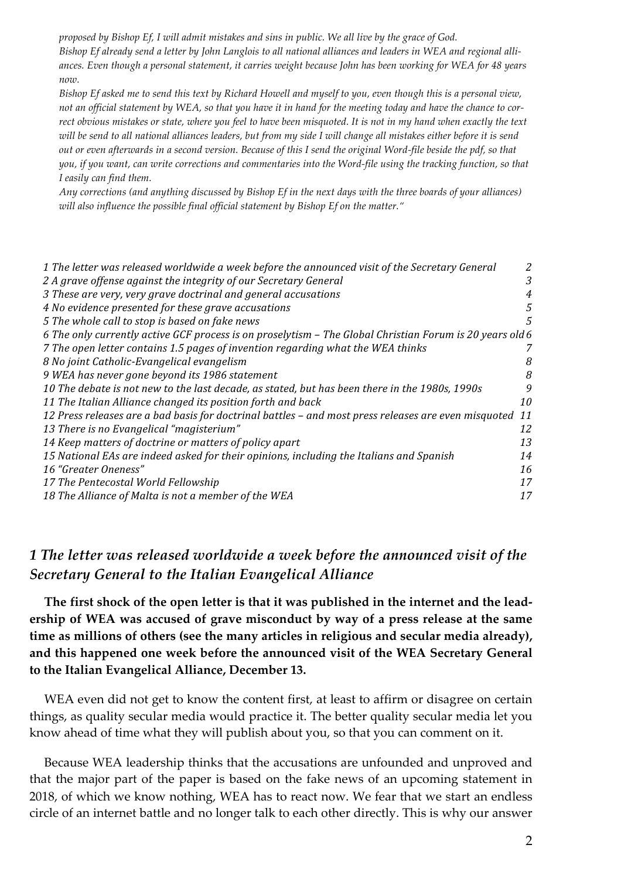*proposed by Bishop Ef, I will admit mistakes and sins in public. We all live by the grace of God. Bishop Ef already send a letter by John Langlois to all national alliances and leaders in WEA and regional alliances. Even though a personal statement, it carries weight because John has been working for WEA for 48 years now.*

*Bishop Ef asked me to send this text by Richard Howell and myself to you, even though this is a personal view, not an official statement by WEA, so that you have it in hand for the meeting today and have the chance to correct obvious mistakes or state, where you feel to have been misquoted. It is not in my hand when exactly the text will be send to all national alliances leaders, but from my side I will change all mistakes either before it is send out or even afterwards in a second version. Because of this I send the original Word-file beside the pdf, so that you, if you want, can write corrections and commentaries into the Word-file using the tracking function, so that I easily can find them.*

*Any corrections (and anything discussed by Bishop Ef in the next days with the three boards of your alliances) will also influence the possible final official statement by Bishop Ef on the matter."*

| 1 The letter was released worldwide a week before the announced visit of the Secretary General           | 2  |
|----------------------------------------------------------------------------------------------------------|----|
| 2 A grave offense against the integrity of our Secretary General                                         | 3  |
| 3 These are very, very grave doctrinal and general accusations                                           | 4  |
| 4 No evidence presented for these grave accusations                                                      | 5  |
| 5 The whole call to stop is based on fake news                                                           | 5  |
| 6 The only currently active GCF process is on proselytism - The Global Christian Forum is 20 years old 6 |    |
| 7 The open letter contains 1.5 pages of invention regarding what the WEA thinks                          | 7  |
| 8 No joint Catholic-Evangelical evangelism                                                               | 8  |
| 9 WEA has never gone beyond its 1986 statement                                                           | 8  |
| 10 The debate is not new to the last decade, as stated, but has been there in the 1980s, 1990s           | 9  |
| 11 The Italian Alliance changed its position forth and back                                              | 10 |
| 12 Press releases are a bad basis for doctrinal battles - and most press releases are even misquoted     | 11 |
| 13 There is no Evangelical "magisterium"                                                                 | 12 |
| 14 Keep matters of doctrine or matters of policy apart                                                   | 13 |
| 15 National EAs are indeed asked for their opinions, including the Italians and Spanish                  | 14 |
| 16 "Greater Oneness"                                                                                     | 16 |
| 17 The Pentecostal World Fellowship                                                                      | 17 |
| 18 The Alliance of Malta is not a member of the WEA                                                      | 17 |

## *1 The letter was released worldwide a week before the announced visit of the Secretary General to the Italian Evangelical Alliance*

**The first shock of the open letter is that it was published in the internet and the leadership of WEA was accused of grave misconduct by way of a press release at the same time as millions of others (see the many articles in religious and secular media already), and this happened one week before the announced visit of the WEA Secretary General to the Italian Evangelical Alliance, December 13.**

WEA even did not get to know the content first, at least to affirm or disagree on certain things, as quality secular media would practice it. The better quality secular media let you know ahead of time what they will publish about you, so that you can comment on it.

Because WEA leadership thinks that the accusations are unfounded and unproved and that the major part of the paper is based on the fake news of an upcoming statement in 2018, of which we know nothing, WEA has to react now. We fear that we start an endless circle of an internet battle and no longer talk to each other directly. This is why our answer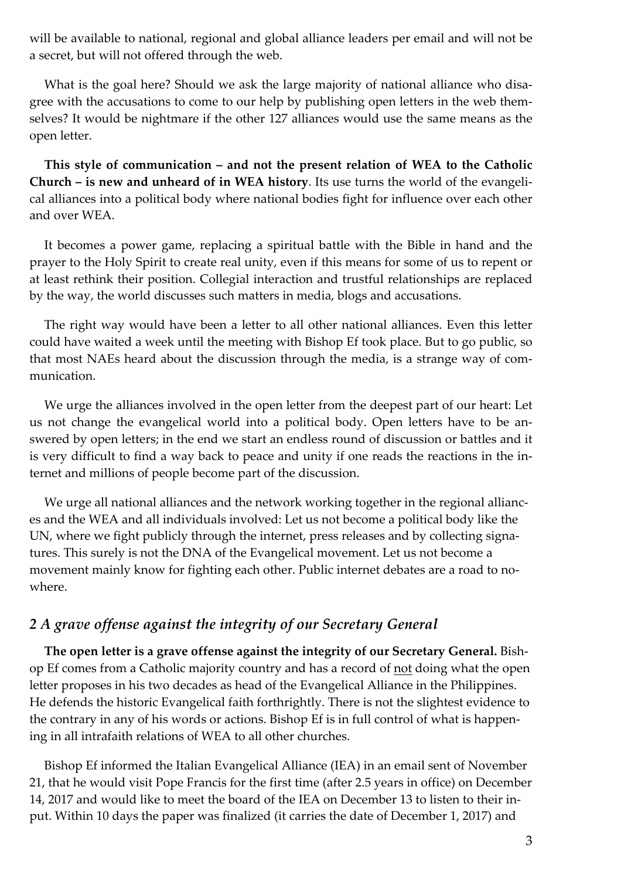will be available to national, regional and global alliance leaders per email and will not be a secret, but will not offered through the web.

What is the goal here? Should we ask the large majority of national alliance who disagree with the accusations to come to our help by publishing open letters in the web themselves? It would be nightmare if the other 127 alliances would use the same means as the open letter.

**This style of communication – and not the present relation of WEA to the Catholic Church – is new and unheard of in WEA history**. Its use turns the world of the evangelical alliances into a political body where national bodies fight for influence over each other and over WEA.

It becomes a power game, replacing a spiritual battle with the Bible in hand and the prayer to the Holy Spirit to create real unity, even if this means for some of us to repent or at least rethink their position. Collegial interaction and trustful relationships are replaced by the way, the world discusses such matters in media, blogs and accusations.

The right way would have been a letter to all other national alliances. Even this letter could have waited a week until the meeting with Bishop Ef took place. But to go public, so that most NAEs heard about the discussion through the media, is a strange way of communication.

We urge the alliances involved in the open letter from the deepest part of our heart: Let us not change the evangelical world into a political body. Open letters have to be answered by open letters; in the end we start an endless round of discussion or battles and it is very difficult to find a way back to peace and unity if one reads the reactions in the internet and millions of people become part of the discussion.

We urge all national alliances and the network working together in the regional alliances and the WEA and all individuals involved: Let us not become a political body like the UN, where we fight publicly through the internet, press releases and by collecting signatures. This surely is not the DNA of the Evangelical movement. Let us not become a movement mainly know for fighting each other. Public internet debates are a road to nowhere.

### *2 A grave offense against the integrity of our Secretary General*

**The open letter is a grave offense against the integrity of our Secretary General.** Bishop Ef comes from a Catholic majority country and has a record of not doing what the open letter proposes in his two decades as head of the Evangelical Alliance in the Philippines. He defends the historic Evangelical faith forthrightly. There is not the slightest evidence to the contrary in any of his words or actions. Bishop Ef is in full control of what is happening in all intrafaith relations of WEA to all other churches.

Bishop Ef informed the Italian Evangelical Alliance (IEA) in an email sent of November 21, that he would visit Pope Francis for the first time (after 2.5 years in office) on December 14, 2017 and would like to meet the board of the IEA on December 13 to listen to their input. Within 10 days the paper was finalized (it carries the date of December 1, 2017) and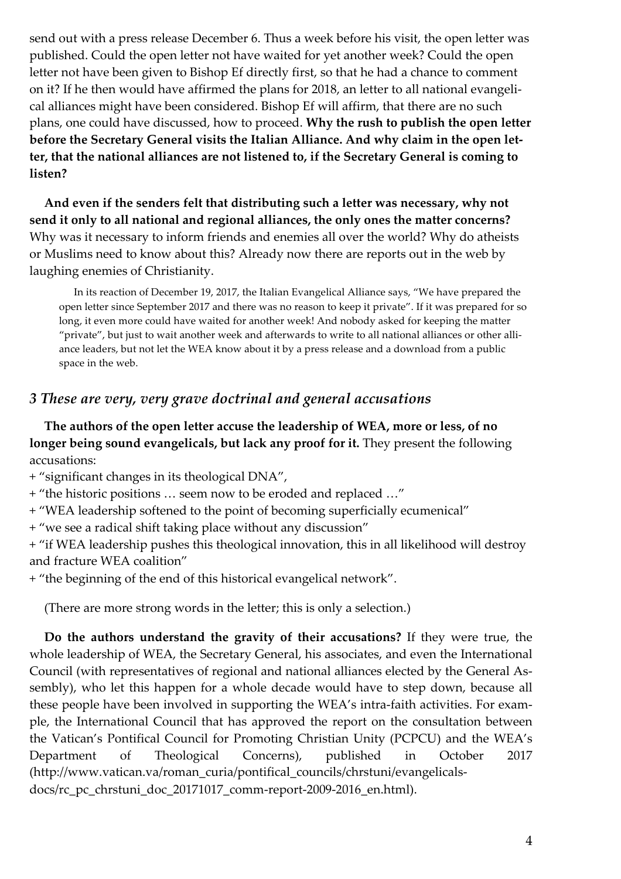send out with a press release December 6. Thus a week before his visit, the open letter was published. Could the open letter not have waited for yet another week? Could the open letter not have been given to Bishop Ef directly first, so that he had a chance to comment on it? If he then would have affirmed the plans for 2018, an letter to all national evangelical alliances might have been considered. Bishop Ef will affirm, that there are no such plans, one could have discussed, how to proceed. **Why the rush to publish the open letter before the Secretary General visits the Italian Alliance. And why claim in the open letter, that the national alliances are not listened to, if the Secretary General is coming to listen?**

**And even if the senders felt that distributing such a letter was necessary, why not send it only to all national and regional alliances, the only ones the matter concerns?**  Why was it necessary to inform friends and enemies all over the world? Why do atheists or Muslims need to know about this? Already now there are reports out in the web by laughing enemies of Christianity.

In its reaction of December 19, 2017, the Italian Evangelical Alliance says, "We have prepared the open letter since September 2017 and there was no reason to keep it private". If it was prepared for so long, it even more could have waited for another week! And nobody asked for keeping the matter "private", but just to wait another week and afterwards to write to all national alliances or other alliance leaders, but not let the WEA know about it by a press release and a download from a public space in the web.

## *3 These are very, very grave doctrinal and general accusations*

**The authors of the open letter accuse the leadership of WEA, more or less, of no longer being sound evangelicals, but lack any proof for it.** They present the following accusations:

+ "significant changes in its theological DNA",

+ "the historic positions … seem now to be eroded and replaced …"

+ "WEA leadership softened to the point of becoming superficially ecumenical"

+ "we see a radical shift taking place without any discussion"

+ "if WEA leadership pushes this theological innovation, this in all likelihood will destroy and fracture WEA coalition"

+ "the beginning of the end of this historical evangelical network".

(There are more strong words in the letter; this is only a selection.)

**Do the authors understand the gravity of their accusations?** If they were true, the whole leadership of WEA, the Secretary General, his associates, and even the International Council (with representatives of regional and national alliances elected by the General Assembly), who let this happen for a whole decade would have to step down, because all these people have been involved in supporting the WEA's intra-faith activities. For example, the International Council that has approved the report on the consultation between the Vatican's Pontifical Council for Promoting Christian Unity (PCPCU) and the WEA's Department of Theological Concerns), published in October 2017 (http://www.vatican.va/roman\_curia/pontifical\_councils/chrstuni/evangelicalsdocs/rc\_pc\_chrstuni\_doc\_20171017\_comm-report-2009-2016\_en.html).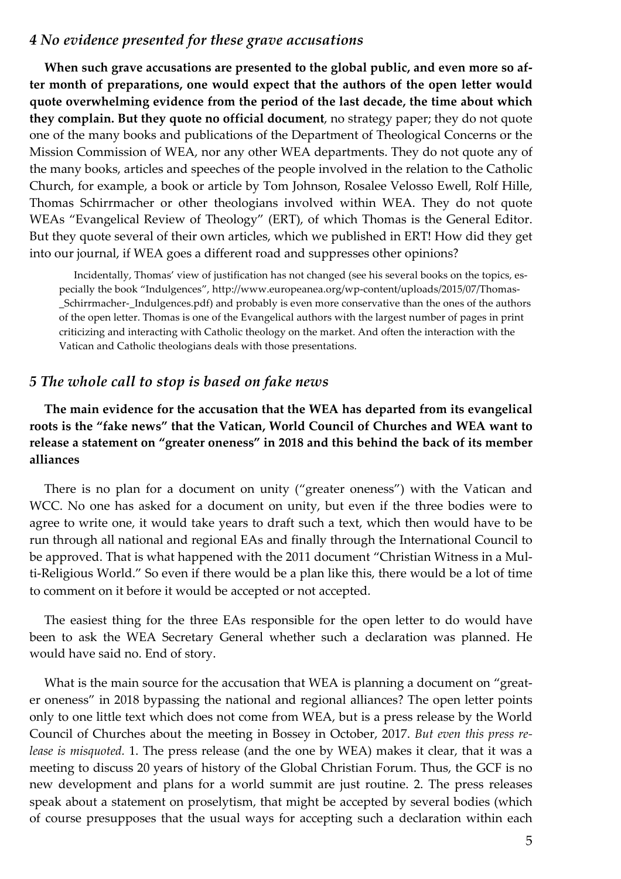#### *4 No evidence presented for these grave accusations*

**When such grave accusations are presented to the global public, and even more so after month of preparations, one would expect that the authors of the open letter would quote overwhelming evidence from the period of the last decade, the time about which they complain. But they quote no official document**, no strategy paper; they do not quote one of the many books and publications of the Department of Theological Concerns or the Mission Commission of WEA, nor any other WEA departments. They do not quote any of the many books, articles and speeches of the people involved in the relation to the Catholic Church, for example, a book or article by Tom Johnson, Rosalee Velosso Ewell, Rolf Hille, Thomas Schirrmacher or other theologians involved within WEA. They do not quote WEAs "Evangelical Review of Theology" (ERT), of which Thomas is the General Editor. But they quote several of their own articles, which we published in ERT! How did they get into our journal, if WEA goes a different road and suppresses other opinions?

Incidentally, Thomas' view of justification has not changed (see his several books on the topics, especially the book "Indulgences", http://www.europeanea.org/wp-content/uploads/2015/07/Thomas- \_Schirrmacher-\_Indulgences.pdf) and probably is even more conservative than the ones of the authors of the open letter. Thomas is one of the Evangelical authors with the largest number of pages in print criticizing and interacting with Catholic theology on the market. And often the interaction with the Vatican and Catholic theologians deals with those presentations.

### *5 The whole call to stop is based on fake news*

**The main evidence for the accusation that the WEA has departed from its evangelical roots is the "fake news" that the Vatican, World Council of Churches and WEA want to release a statement on "greater oneness" in 2018 and this behind the back of its member alliances**

There is no plan for a document on unity ("greater oneness") with the Vatican and WCC. No one has asked for a document on unity, but even if the three bodies were to agree to write one, it would take years to draft such a text, which then would have to be run through all national and regional EAs and finally through the International Council to be approved. That is what happened with the 2011 document "Christian Witness in a Multi-Religious World." So even if there would be a plan like this, there would be a lot of time to comment on it before it would be accepted or not accepted.

The easiest thing for the three EAs responsible for the open letter to do would have been to ask the WEA Secretary General whether such a declaration was planned. He would have said no. End of story.

What is the main source for the accusation that WEA is planning a document on "greater oneness" in 2018 bypassing the national and regional alliances? The open letter points only to one little text which does not come from WEA, but is a press release by the World Council of Churches about the meeting in Bossey in October, 2017. *But even this press release is misquoted.* 1. The press release (and the one by WEA) makes it clear, that it was a meeting to discuss 20 years of history of the Global Christian Forum. Thus, the GCF is no new development and plans for a world summit are just routine. 2. The press releases speak about a statement on proselytism, that might be accepted by several bodies (which of course presupposes that the usual ways for accepting such a declaration within each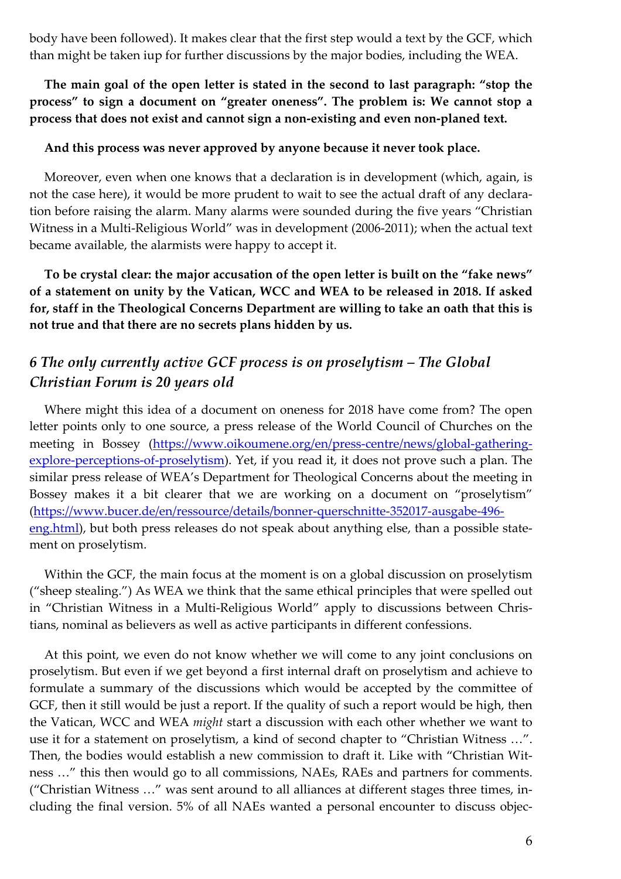body have been followed). It makes clear that the first step would a text by the GCF, which than might be taken iup for further discussions by the major bodies, including the WEA.

**The main goal of the open letter is stated in the second to last paragraph: "stop the process" to sign a document on "greater oneness". The problem is: We cannot stop a process that does not exist and cannot sign a non-existing and even non-planed text.**

#### **And this process was never approved by anyone because it never took place.**

Moreover, even when one knows that a declaration is in development (which, again, is not the case here), it would be more prudent to wait to see the actual draft of any declaration before raising the alarm. Many alarms were sounded during the five years "Christian Witness in a Multi-Religious World" was in development (2006-2011); when the actual text became available, the alarmists were happy to accept it.

**To be crystal clear: the major accusation of the open letter is built on the "fake news" of a statement on unity by the Vatican, WCC and WEA to be released in 2018. If asked for, staff in the Theological Concerns Department are willing to take an oath that this is not true and that there are no secrets plans hidden by us.**

## *6 The only currently active GCF process is on proselytism – The Global Christian Forum is 20 years old*

Where might this idea of a document on oneness for 2018 have come from? The open letter points only to one source, a press release of the World Council of Churches on the meeting in Bossey (https://www.oikoumene.org/en/press-centre/news/global-gatheringexplore-perceptions-of-proselytism). Yet, if you read it, it does not prove such a plan. The similar press release of WEA's Department for Theological Concerns about the meeting in Bossey makes it a bit clearer that we are working on a document on "proselytism" (https://www.bucer.de/en/ressource/details/bonner-querschnitte-352017-ausgabe-496 eng.html), but both press releases do not speak about anything else, than a possible statement on proselytism.

Within the GCF, the main focus at the moment is on a global discussion on proselytism ("sheep stealing.") As WEA we think that the same ethical principles that were spelled out in "Christian Witness in a Multi-Religious World" apply to discussions between Christians, nominal as believers as well as active participants in different confessions.

At this point, we even do not know whether we will come to any joint conclusions on proselytism. But even if we get beyond a first internal draft on proselytism and achieve to formulate a summary of the discussions which would be accepted by the committee of GCF, then it still would be just a report. If the quality of such a report would be high, then the Vatican, WCC and WEA *might* start a discussion with each other whether we want to use it for a statement on proselytism, a kind of second chapter to "Christian Witness …". Then, the bodies would establish a new commission to draft it. Like with "Christian Witness …" this then would go to all commissions, NAEs, RAEs and partners for comments. ("Christian Witness …" was sent around to all alliances at different stages three times, including the final version. 5% of all NAEs wanted a personal encounter to discuss objec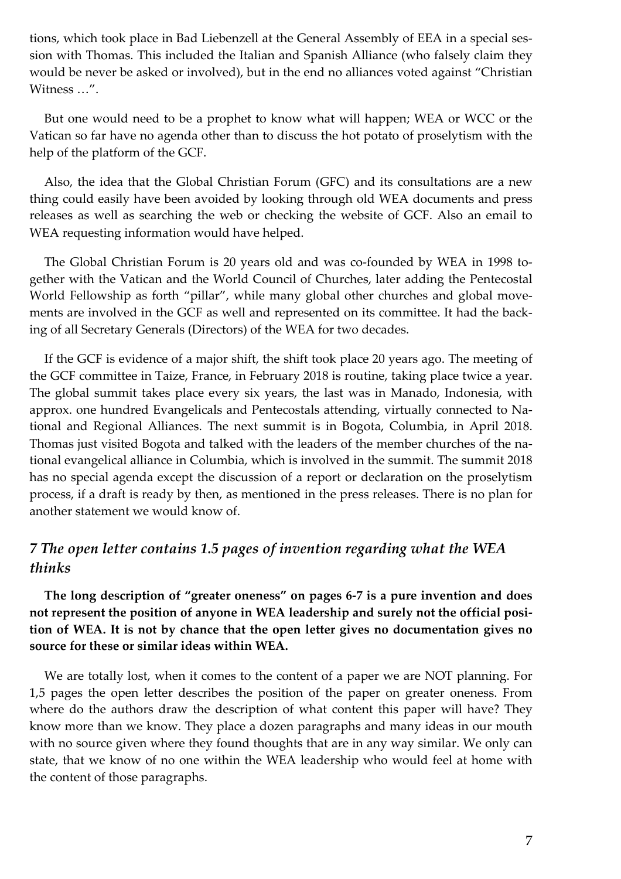tions, which took place in Bad Liebenzell at the General Assembly of EEA in a special session with Thomas. This included the Italian and Spanish Alliance (who falsely claim they would be never be asked or involved), but in the end no alliances voted against "Christian Witness …".

But one would need to be a prophet to know what will happen; WEA or WCC or the Vatican so far have no agenda other than to discuss the hot potato of proselytism with the help of the platform of the GCF.

Also, the idea that the Global Christian Forum (GFC) and its consultations are a new thing could easily have been avoided by looking through old WEA documents and press releases as well as searching the web or checking the website of GCF. Also an email to WEA requesting information would have helped.

The Global Christian Forum is 20 years old and was co-founded by WEA in 1998 together with the Vatican and the World Council of Churches, later adding the Pentecostal World Fellowship as forth "pillar", while many global other churches and global movements are involved in the GCF as well and represented on its committee. It had the backing of all Secretary Generals (Directors) of the WEA for two decades.

If the GCF is evidence of a major shift, the shift took place 20 years ago. The meeting of the GCF committee in Taize, France, in February 2018 is routine, taking place twice a year. The global summit takes place every six years, the last was in Manado, Indonesia, with approx. one hundred Evangelicals and Pentecostals attending, virtually connected to National and Regional Alliances. The next summit is in Bogota, Columbia, in April 2018. Thomas just visited Bogota and talked with the leaders of the member churches of the national evangelical alliance in Columbia, which is involved in the summit. The summit 2018 has no special agenda except the discussion of a report or declaration on the proselytism process, if a draft is ready by then, as mentioned in the press releases. There is no plan for another statement we would know of.

## *7 The open letter contains 1.5 pages of invention regarding what the WEA thinks*

**The long description of "greater oneness" on pages 6-7 is a pure invention and does not represent the position of anyone in WEA leadership and surely not the official position of WEA. It is not by chance that the open letter gives no documentation gives no source for these or similar ideas within WEA.**

We are totally lost, when it comes to the content of a paper we are NOT planning. For 1,5 pages the open letter describes the position of the paper on greater oneness. From where do the authors draw the description of what content this paper will have? They know more than we know. They place a dozen paragraphs and many ideas in our mouth with no source given where they found thoughts that are in any way similar. We only can state, that we know of no one within the WEA leadership who would feel at home with the content of those paragraphs.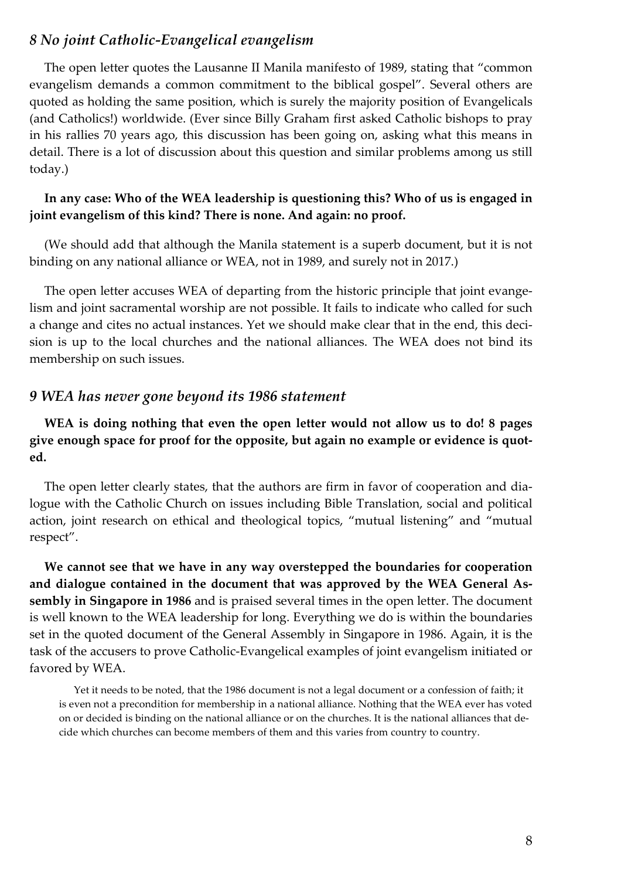### *8 No joint Catholic-Evangelical evangelism*

The open letter quotes the Lausanne II Manila manifesto of 1989, stating that "common evangelism demands a common commitment to the biblical gospel". Several others are quoted as holding the same position, which is surely the majority position of Evangelicals (and Catholics!) worldwide. (Ever since Billy Graham first asked Catholic bishops to pray in his rallies 70 years ago, this discussion has been going on, asking what this means in detail. There is a lot of discussion about this question and similar problems among us still today.)

#### **In any case: Who of the WEA leadership is questioning this? Who of us is engaged in joint evangelism of this kind? There is none. And again: no proof.**

(We should add that although the Manila statement is a superb document, but it is not binding on any national alliance or WEA, not in 1989, and surely not in 2017.)

The open letter accuses WEA of departing from the historic principle that joint evangelism and joint sacramental worship are not possible. It fails to indicate who called for such a change and cites no actual instances. Yet we should make clear that in the end, this decision is up to the local churches and the national alliances. The WEA does not bind its membership on such issues.

#### *9 WEA has never gone beyond its 1986 statement*

**WEA is doing nothing that even the open letter would not allow us to do! 8 pages give enough space for proof for the opposite, but again no example or evidence is quoted.**

The open letter clearly states, that the authors are firm in favor of cooperation and dialogue with the Catholic Church on issues including Bible Translation, social and political action, joint research on ethical and theological topics, "mutual listening" and "mutual respect".

**We cannot see that we have in any way overstepped the boundaries for cooperation and dialogue contained in the document that was approved by the WEA General Assembly in Singapore in 1986** and is praised several times in the open letter. The document is well known to the WEA leadership for long. Everything we do is within the boundaries set in the quoted document of the General Assembly in Singapore in 1986. Again, it is the task of the accusers to prove Catholic-Evangelical examples of joint evangelism initiated or favored by WEA.

Yet it needs to be noted, that the 1986 document is not a legal document or a confession of faith; it is even not a precondition for membership in a national alliance. Nothing that the WEA ever has voted on or decided is binding on the national alliance or on the churches. It is the national alliances that decide which churches can become members of them and this varies from country to country.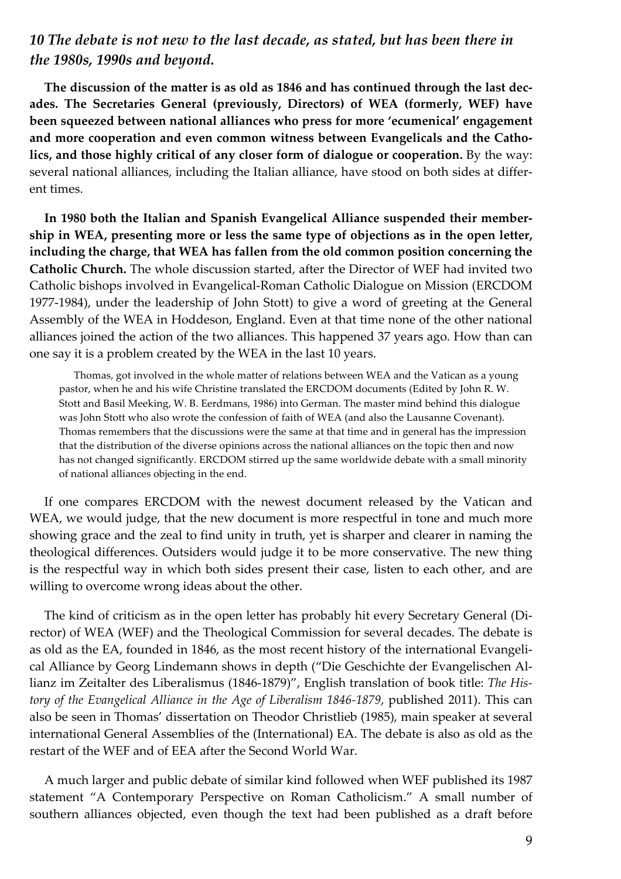## *10 The debate is not new to the last decade, as stated, but has been there in the 1980s, 1990s and beyond.*

**The discussion of the matter is as old as 1846 and has continued through the last decades. The Secretaries General (previously, Directors) of WEA (formerly, WEF) have been squeezed between national alliances who press for more 'ecumenical' engagement and more cooperation and even common witness between Evangelicals and the Catholics, and those highly critical of any closer form of dialogue or cooperation.** By the way: several national alliances, including the Italian alliance, have stood on both sides at different times.

**In 1980 both the Italian and Spanish Evangelical Alliance suspended their membership in WEA, presenting more or less the same type of objections as in the open letter, including the charge, that WEA has fallen from the old common position concerning the Catholic Church.** The whole discussion started, after the Director of WEF had invited two Catholic bishops involved in Evangelical-Roman Catholic Dialogue on Mission (ERCDOM 1977-1984), under the leadership of John Stott) to give a word of greeting at the General Assembly of the WEA in Hoddeson, England. Even at that time none of the other national alliances joined the action of the two alliances. This happened 37 years ago. How than can one say it is a problem created by the WEA in the last 10 years.

Thomas, got involved in the whole matter of relations between WEA and the Vatican as a young pastor, when he and his wife Christine translated the ERCDOM documents (Edited by John R. W. Stott and Basil Meeking, W. B. Eerdmans, 1986) into German. The master mind behind this dialogue was John Stott who also wrote the confession of faith of WEA (and also the Lausanne Covenant). Thomas remembers that the discussions were the same at that time and in general has the impression that the distribution of the diverse opinions across the national alliances on the topic then and now has not changed significantly. ERCDOM stirred up the same worldwide debate with a small minority of national alliances objecting in the end.

If one compares ERCDOM with the newest document released by the Vatican and WEA, we would judge, that the new document is more respectful in tone and much more showing grace and the zeal to find unity in truth, yet is sharper and clearer in naming the theological differences. Outsiders would judge it to be more conservative. The new thing is the respectful way in which both sides present their case, listen to each other, and are willing to overcome wrong ideas about the other.

The kind of criticism as in the open letter has probably hit every Secretary General (Director) of WEA (WEF) and the Theological Commission for several decades. The debate is as old as the EA, founded in 1846, as the most recent history of the international Evangelical Alliance by Georg Lindemann shows in depth ("Die Geschichte der Evangelischen Allianz im Zeitalter des Liberalismus (1846-1879)", English translation of book title: *The History of the Evangelical Alliance in the Age of Liberalism 1846-1879*, published 2011). This can also be seen in Thomas' dissertation on Theodor Christlieb (1985), main speaker at several international General Assemblies of the (International) EA. The debate is also as old as the restart of the WEF and of EEA after the Second World War.

A much larger and public debate of similar kind followed when WEF published its 1987 statement "A Contemporary Perspective on Roman Catholicism." A small number of southern alliances objected, even though the text had been published as a draft before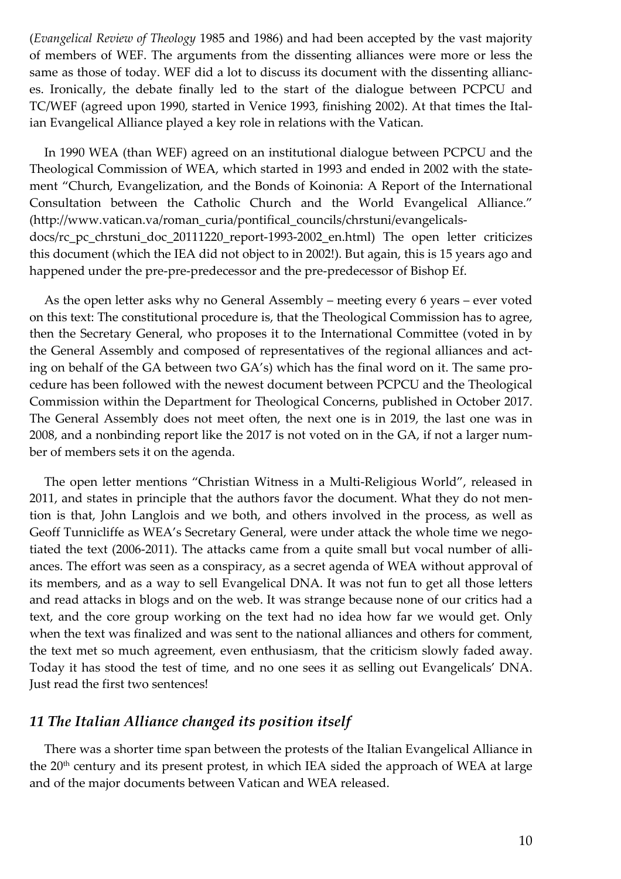(*Evangelical Review of Theology* 1985 and 1986) and had been accepted by the vast majority of members of WEF. The arguments from the dissenting alliances were more or less the same as those of today. WEF did a lot to discuss its document with the dissenting alliances. Ironically, the debate finally led to the start of the dialogue between PCPCU and TC/WEF (agreed upon 1990, started in Venice 1993, finishing 2002). At that times the Italian Evangelical Alliance played a key role in relations with the Vatican.

In 1990 WEA (than WEF) agreed on an institutional dialogue between PCPCU and the Theological Commission of WEA, which started in 1993 and ended in 2002 with the statement "Church, Evangelization, and the Bonds of Koinonia: A Report of the International Consultation between the Catholic Church and the World Evangelical Alliance." (http://www.vatican.va/roman\_curia/pontifical\_councils/chrstuni/evangelicalsdocs/rc\_pc\_chrstuni\_doc\_20111220\_report-1993-2002\_en.html) The open letter criticizes this document (which the IEA did not object to in 2002!). But again, this is 15 years ago and happened under the pre-pre-predecessor and the pre-predecessor of Bishop Ef.

As the open letter asks why no General Assembly – meeting every 6 years – ever voted on this text: The constitutional procedure is, that the Theological Commission has to agree, then the Secretary General, who proposes it to the International Committee (voted in by the General Assembly and composed of representatives of the regional alliances and acting on behalf of the GA between two GA's) which has the final word on it. The same procedure has been followed with the newest document between PCPCU and the Theological Commission within the Department for Theological Concerns, published in October 2017. The General Assembly does not meet often, the next one is in 2019, the last one was in 2008, and a nonbinding report like the 2017 is not voted on in the GA, if not a larger number of members sets it on the agenda.

The open letter mentions "Christian Witness in a Multi-Religious World", released in 2011, and states in principle that the authors favor the document. What they do not mention is that, John Langlois and we both, and others involved in the process, as well as Geoff Tunnicliffe as WEA's Secretary General, were under attack the whole time we negotiated the text (2006-2011). The attacks came from a quite small but vocal number of alliances. The effort was seen as a conspiracy, as a secret agenda of WEA without approval of its members, and as a way to sell Evangelical DNA. It was not fun to get all those letters and read attacks in blogs and on the web. It was strange because none of our critics had a text, and the core group working on the text had no idea how far we would get. Only when the text was finalized and was sent to the national alliances and others for comment, the text met so much agreement, even enthusiasm, that the criticism slowly faded away. Today it has stood the test of time, and no one sees it as selling out Evangelicals' DNA. Just read the first two sentences!

### *11 The Italian Alliance changed its position itself*

There was a shorter time span between the protests of the Italian Evangelical Alliance in the  $20<sup>th</sup>$  century and its present protest, in which IEA sided the approach of WEA at large and of the major documents between Vatican and WEA released.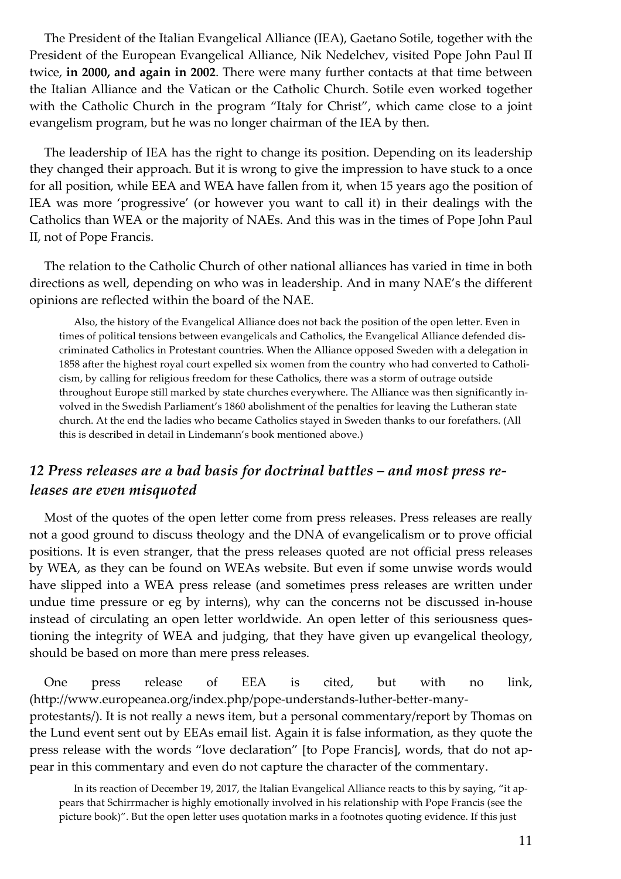The President of the Italian Evangelical Alliance (IEA), Gaetano Sotile, together with the President of the European Evangelical Alliance, Nik Nedelchev, visited Pope John Paul II twice, **in 2000, and again in 2002**. There were many further contacts at that time between the Italian Alliance and the Vatican or the Catholic Church. Sotile even worked together with the Catholic Church in the program "Italy for Christ", which came close to a joint evangelism program, but he was no longer chairman of the IEA by then.

The leadership of IEA has the right to change its position. Depending on its leadership they changed their approach. But it is wrong to give the impression to have stuck to a once for all position, while EEA and WEA have fallen from it, when 15 years ago the position of IEA was more 'progressive' (or however you want to call it) in their dealings with the Catholics than WEA or the majority of NAEs. And this was in the times of Pope John Paul II, not of Pope Francis.

The relation to the Catholic Church of other national alliances has varied in time in both directions as well, depending on who was in leadership. And in many NAE's the different opinions are reflected within the board of the NAE.

Also, the history of the Evangelical Alliance does not back the position of the open letter. Even in times of political tensions between evangelicals and Catholics, the Evangelical Alliance defended discriminated Catholics in Protestant countries. When the Alliance opposed Sweden with a delegation in 1858 after the highest royal court expelled six women from the country who had converted to Catholicism, by calling for religious freedom for these Catholics, there was a storm of outrage outside throughout Europe still marked by state churches everywhere. The Alliance was then significantly involved in the Swedish Parliament's 1860 abolishment of the penalties for leaving the Lutheran state church. At the end the ladies who became Catholics stayed in Sweden thanks to our forefathers. (All this is described in detail in Lindemann's book mentioned above.)

## *12 Press releases are a bad basis for doctrinal battles – and most press releases are even misquoted*

Most of the quotes of the open letter come from press releases. Press releases are really not a good ground to discuss theology and the DNA of evangelicalism or to prove official positions. It is even stranger, that the press releases quoted are not official press releases by WEA, as they can be found on WEAs website. But even if some unwise words would have slipped into a WEA press release (and sometimes press releases are written under undue time pressure or eg by interns), why can the concerns not be discussed in-house instead of circulating an open letter worldwide. An open letter of this seriousness questioning the integrity of WEA and judging, that they have given up evangelical theology, should be based on more than mere press releases.

One press release of EEA is cited, but with no link, (http://www.europeanea.org/index.php/pope-understands-luther-better-manyprotestants/). It is not really a news item, but a personal commentary/report by Thomas on the Lund event sent out by EEAs email list. Again it is false information, as they quote the press release with the words "love declaration" [to Pope Francis], words, that do not appear in this commentary and even do not capture the character of the commentary.

In its reaction of December 19, 2017, the Italian Evangelical Alliance reacts to this by saying, "it appears that Schirrmacher is highly emotionally involved in his relationship with Pope Francis (see the picture book)". But the open letter uses quotation marks in a footnotes quoting evidence. If this just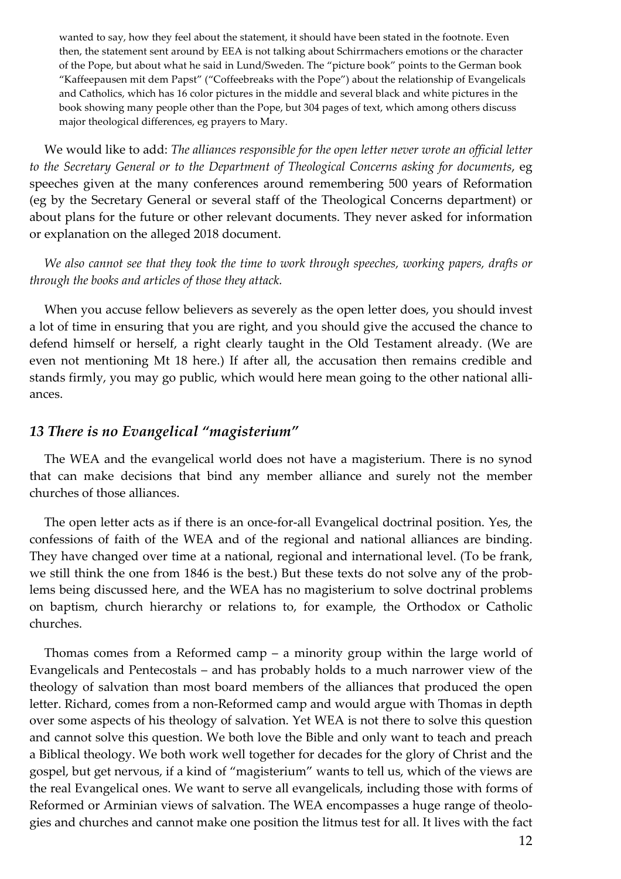wanted to say, how they feel about the statement, it should have been stated in the footnote. Even then, the statement sent around by EEA is not talking about Schirrmachers emotions or the character of the Pope, but about what he said in Lund/Sweden. The "picture book" points to the German book "Kaffeepausen mit dem Papst" ("Coffeebreaks with the Pope") about the relationship of Evangelicals and Catholics, which has 16 color pictures in the middle and several black and white pictures in the book showing many people other than the Pope, but 304 pages of text, which among others discuss major theological differences, eg prayers to Mary.

We would like to add: *The alliances responsible for the open letter never wrote an official letter to the Secretary General or to the Department of Theological Concerns asking for documents*, eg speeches given at the many conferences around remembering 500 years of Reformation (eg by the Secretary General or several staff of the Theological Concerns department) or about plans for the future or other relevant documents. They never asked for information or explanation on the alleged 2018 document.

*We also cannot see that they took the time to work through speeches, working papers, drafts or through the books and articles of those they attack.*

When you accuse fellow believers as severely as the open letter does, you should invest a lot of time in ensuring that you are right, and you should give the accused the chance to defend himself or herself, a right clearly taught in the Old Testament already. (We are even not mentioning Mt 18 here.) If after all, the accusation then remains credible and stands firmly, you may go public, which would here mean going to the other national alliances.

### *13 There is no Evangelical "magisterium"*

The WEA and the evangelical world does not have a magisterium. There is no synod that can make decisions that bind any member alliance and surely not the member churches of those alliances.

The open letter acts as if there is an once-for-all Evangelical doctrinal position. Yes, the confessions of faith of the WEA and of the regional and national alliances are binding. They have changed over time at a national, regional and international level. (To be frank, we still think the one from 1846 is the best.) But these texts do not solve any of the problems being discussed here, and the WEA has no magisterium to solve doctrinal problems on baptism, church hierarchy or relations to, for example, the Orthodox or Catholic churches.

Thomas comes from a Reformed camp – a minority group within the large world of Evangelicals and Pentecostals – and has probably holds to a much narrower view of the theology of salvation than most board members of the alliances that produced the open letter. Richard, comes from a non-Reformed camp and would argue with Thomas in depth over some aspects of his theology of salvation. Yet WEA is not there to solve this question and cannot solve this question. We both love the Bible and only want to teach and preach a Biblical theology. We both work well together for decades for the glory of Christ and the gospel, but get nervous, if a kind of "magisterium" wants to tell us, which of the views are the real Evangelical ones. We want to serve all evangelicals, including those with forms of Reformed or Arminian views of salvation. The WEA encompasses a huge range of theologies and churches and cannot make one position the litmus test for all. It lives with the fact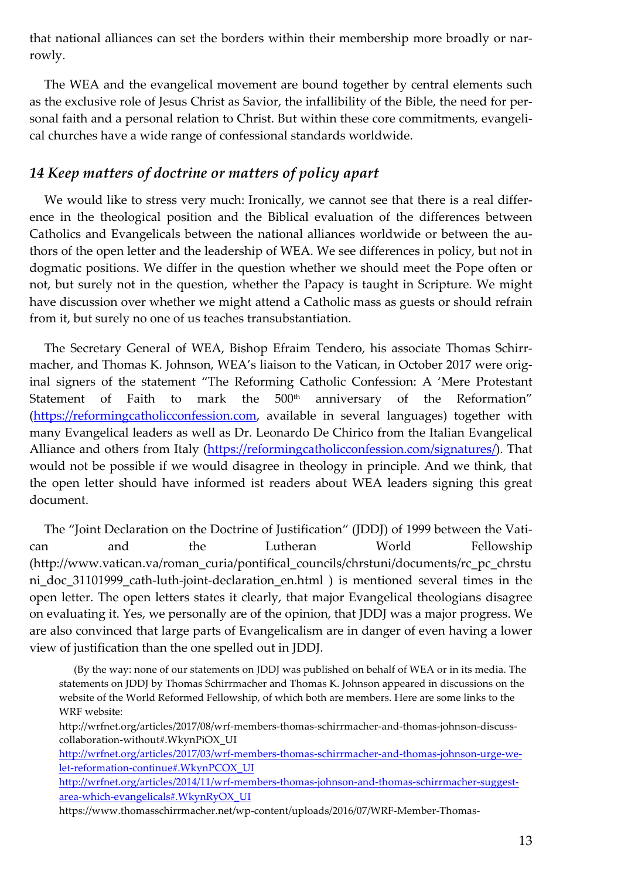that national alliances can set the borders within their membership more broadly or narrowly.

The WEA and the evangelical movement are bound together by central elements such as the exclusive role of Jesus Christ as Savior, the infallibility of the Bible, the need for personal faith and a personal relation to Christ. But within these core commitments, evangelical churches have a wide range of confessional standards worldwide.

## *14 Keep matters of doctrine or matters of policy apart*

We would like to stress very much: Ironically, we cannot see that there is a real difference in the theological position and the Biblical evaluation of the differences between Catholics and Evangelicals between the national alliances worldwide or between the authors of the open letter and the leadership of WEA. We see differences in policy, but not in dogmatic positions. We differ in the question whether we should meet the Pope often or not, but surely not in the question, whether the Papacy is taught in Scripture. We might have discussion over whether we might attend a Catholic mass as guests or should refrain from it, but surely no one of us teaches transubstantiation.

The Secretary General of WEA, Bishop Efraim Tendero, his associate Thomas Schirrmacher, and Thomas K. Johnson, WEA's liaison to the Vatican, in October 2017 were original signers of the statement "The Reforming Catholic Confession: A 'Mere Protestant Statement of Faith to mark the 500<sup>th</sup> anniversary of the Reformation" (https://reformingcatholicconfession.com, available in several languages) together with many Evangelical leaders as well as Dr. Leonardo De Chirico from the Italian Evangelical Alliance and others from Italy (https://reformingcatholicconfession.com/signatures/). That would not be possible if we would disagree in theology in principle. And we think, that the open letter should have informed ist readers about WEA leaders signing this great document.

The "Joint Declaration on the Doctrine of Justification" (JDDJ) of 1999 between the Vatican and the Lutheran World Fellowship (http://www.vatican.va/roman\_curia/pontifical\_councils/chrstuni/documents/rc\_pc\_chrstu ni\_doc\_31101999\_cath-luth-joint-declaration\_en.html ) is mentioned several times in the open letter. The open letters states it clearly, that major Evangelical theologians disagree on evaluating it. Yes, we personally are of the opinion, that JDDJ was a major progress. We are also convinced that large parts of Evangelicalism are in danger of even having a lower view of justification than the one spelled out in JDDJ.

(By the way: none of our statements on JDDJ was published on behalf of WEA or in its media. The statements on JDDJ by Thomas Schirrmacher and Thomas K. Johnson appeared in discussions on the website of the World Reformed Fellowship, of which both are members. Here are some links to the WRF website:

http://wrfnet.org/articles/2017/08/wrf-members-thomas-schirrmacher-and-thomas-johnson-discusscollaboration-without#.WkynPiOX\_UI

http://wrfnet.org/articles/2017/03/wrf-members-thomas-schirrmacher-and-thomas-johnson-urge-welet-reformation-continue#.WkynPCOX\_UI

http://wrfnet.org/articles/2014/11/wrf-members-thomas-johnson-and-thomas-schirrmacher-suggestarea-which-evangelicals#.WkynRyOX\_UI

https://www.thomasschirrmacher.net/wp-content/uploads/2016/07/WRF-Member-Thomas-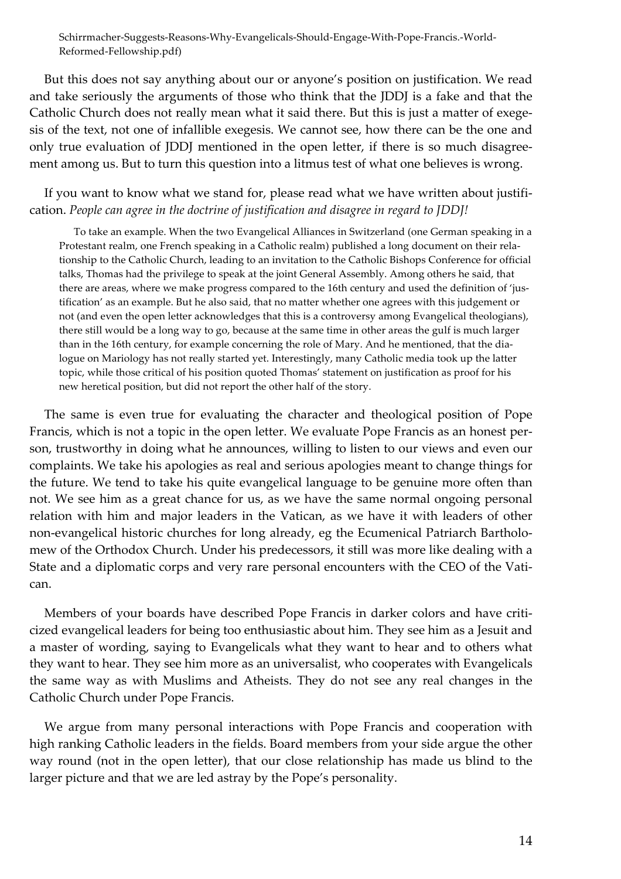Schirrmacher-Suggests-Reasons-Why-Evangelicals-Should-Engage-With-Pope-Francis.-World-Reformed-Fellowship.pdf)

But this does not say anything about our or anyone's position on justification. We read and take seriously the arguments of those who think that the JDDJ is a fake and that the Catholic Church does not really mean what it said there. But this is just a matter of exegesis of the text, not one of infallible exegesis. We cannot see, how there can be the one and only true evaluation of JDDJ mentioned in the open letter, if there is so much disagreement among us. But to turn this question into a litmus test of what one believes is wrong.

If you want to know what we stand for, please read what we have written about justification. *People can agree in the doctrine of justification and disagree in regard to JDDJ!*

To take an example. When the two Evangelical Alliances in Switzerland (one German speaking in a Protestant realm, one French speaking in a Catholic realm) published a long document on their relationship to the Catholic Church, leading to an invitation to the Catholic Bishops Conference for official talks, Thomas had the privilege to speak at the joint General Assembly. Among others he said, that there are areas, where we make progress compared to the 16th century and used the definition of 'justification' as an example. But he also said, that no matter whether one agrees with this judgement or not (and even the open letter acknowledges that this is a controversy among Evangelical theologians), there still would be a long way to go, because at the same time in other areas the gulf is much larger than in the 16th century, for example concerning the role of Mary. And he mentioned, that the dialogue on Mariology has not really started yet. Interestingly, many Catholic media took up the latter topic, while those critical of his position quoted Thomas' statement on justification as proof for his new heretical position, but did not report the other half of the story.

The same is even true for evaluating the character and theological position of Pope Francis, which is not a topic in the open letter. We evaluate Pope Francis as an honest person, trustworthy in doing what he announces, willing to listen to our views and even our complaints. We take his apologies as real and serious apologies meant to change things for the future. We tend to take his quite evangelical language to be genuine more often than not. We see him as a great chance for us, as we have the same normal ongoing personal relation with him and major leaders in the Vatican, as we have it with leaders of other non-evangelical historic churches for long already, eg the Ecumenical Patriarch Bartholomew of the Orthodox Church. Under his predecessors, it still was more like dealing with a State and a diplomatic corps and very rare personal encounters with the CEO of the Vatican.

Members of your boards have described Pope Francis in darker colors and have criticized evangelical leaders for being too enthusiastic about him. They see him as a Jesuit and a master of wording, saying to Evangelicals what they want to hear and to others what they want to hear. They see him more as an universalist, who cooperates with Evangelicals the same way as with Muslims and Atheists. They do not see any real changes in the Catholic Church under Pope Francis.

We argue from many personal interactions with Pope Francis and cooperation with high ranking Catholic leaders in the fields. Board members from your side argue the other way round (not in the open letter), that our close relationship has made us blind to the larger picture and that we are led astray by the Pope's personality.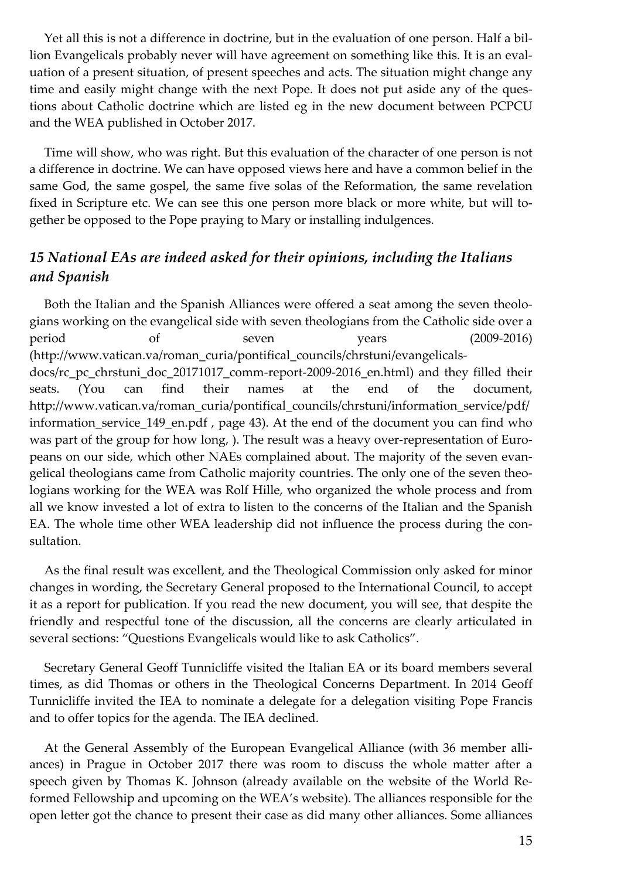Yet all this is not a difference in doctrine, but in the evaluation of one person. Half a billion Evangelicals probably never will have agreement on something like this. It is an evaluation of a present situation, of present speeches and acts. The situation might change any time and easily might change with the next Pope. It does not put aside any of the questions about Catholic doctrine which are listed eg in the new document between PCPCU and the WEA published in October 2017.

Time will show, who was right. But this evaluation of the character of one person is not a difference in doctrine. We can have opposed views here and have a common belief in the same God, the same gospel, the same five solas of the Reformation, the same revelation fixed in Scripture etc. We can see this one person more black or more white, but will together be opposed to the Pope praying to Mary or installing indulgences.

## *15 National EAs are indeed asked for their opinions, including the Italians and Spanish*

Both the Italian and the Spanish Alliances were offered a seat among the seven theologians working on the evangelical side with seven theologians from the Catholic side over a period of seven years (2009-2016) (http://www.vatican.va/roman\_curia/pontifical\_councils/chrstuni/evangelicalsdocs/rc\_pc\_chrstuni\_doc\_20171017\_comm-report-2009-2016\_en.html) and they filled their seats. (You can find their names at the end of the document, http://www.vatican.va/roman\_curia/pontifical\_councils/chrstuni/information\_service/pdf/ information\_service\_149\_en.pdf , page 43). At the end of the document you can find who was part of the group for how long, ). The result was a heavy over-representation of Europeans on our side, which other NAEs complained about. The majority of the seven evangelical theologians came from Catholic majority countries. The only one of the seven theologians working for the WEA was Rolf Hille, who organized the whole process and from all we know invested a lot of extra to listen to the concerns of the Italian and the Spanish EA. The whole time other WEA leadership did not influence the process during the consultation.

As the final result was excellent, and the Theological Commission only asked for minor changes in wording, the Secretary General proposed to the International Council, to accept it as a report for publication. If you read the new document, you will see, that despite the friendly and respectful tone of the discussion, all the concerns are clearly articulated in several sections: "Questions Evangelicals would like to ask Catholics".

Secretary General Geoff Tunnicliffe visited the Italian EA or its board members several times, as did Thomas or others in the Theological Concerns Department. In 2014 Geoff Tunnicliffe invited the IEA to nominate a delegate for a delegation visiting Pope Francis and to offer topics for the agenda. The IEA declined.

At the General Assembly of the European Evangelical Alliance (with 36 member alliances) in Prague in October 2017 there was room to discuss the whole matter after a speech given by Thomas K. Johnson (already available on the website of the World Reformed Fellowship and upcoming on the WEA's website). The alliances responsible for the open letter got the chance to present their case as did many other alliances. Some alliances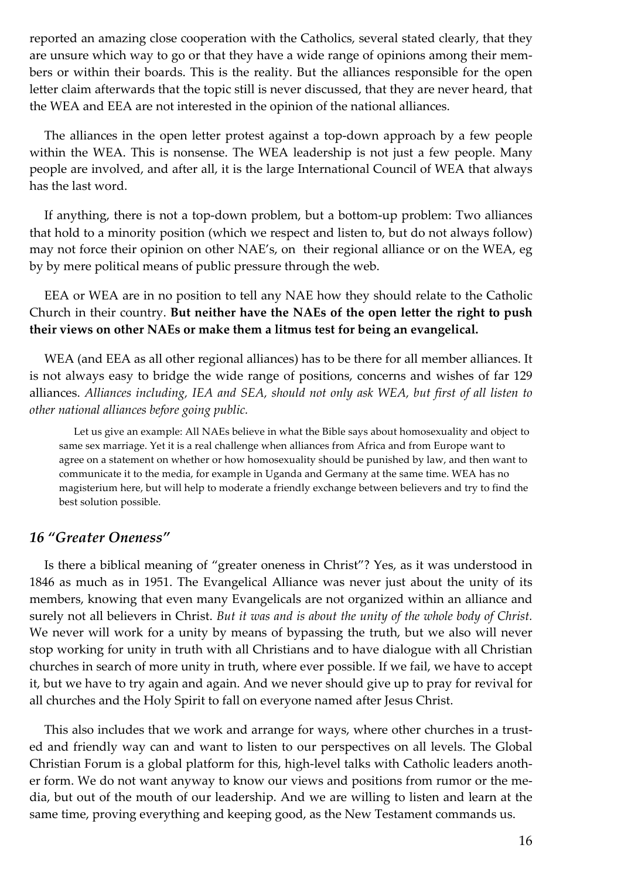reported an amazing close cooperation with the Catholics, several stated clearly, that they are unsure which way to go or that they have a wide range of opinions among their members or within their boards. This is the reality. But the alliances responsible for the open letter claim afterwards that the topic still is never discussed, that they are never heard, that the WEA and EEA are not interested in the opinion of the national alliances.

The alliances in the open letter protest against a top-down approach by a few people within the WEA. This is nonsense. The WEA leadership is not just a few people. Many people are involved, and after all, it is the large International Council of WEA that always has the last word.

If anything, there is not a top-down problem, but a bottom-up problem: Two alliances that hold to a minority position (which we respect and listen to, but do not always follow) may not force their opinion on other NAE's, on their regional alliance or on the WEA, eg by by mere political means of public pressure through the web.

EEA or WEA are in no position to tell any NAE how they should relate to the Catholic Church in their country. **But neither have the NAEs of the open letter the right to push their views on other NAEs or make them a litmus test for being an evangelical.**

WEA (and EEA as all other regional alliances) has to be there for all member alliances. It is not always easy to bridge the wide range of positions, concerns and wishes of far 129 alliances. *Alliances including, IEA and SEA, should not only ask WEA, but first of all listen to other national alliances before going public.*

Let us give an example: All NAEs believe in what the Bible says about homosexuality and object to same sex marriage. Yet it is a real challenge when alliances from Africa and from Europe want to agree on a statement on whether or how homosexuality should be punished by law, and then want to communicate it to the media, for example in Uganda and Germany at the same time. WEA has no magisterium here, but will help to moderate a friendly exchange between believers and try to find the best solution possible.

### *16 "Greater Oneness"*

Is there a biblical meaning of "greater oneness in Christ"? Yes, as it was understood in 1846 as much as in 1951. The Evangelical Alliance was never just about the unity of its members, knowing that even many Evangelicals are not organized within an alliance and surely not all believers in Christ. *But it was and is about the unity of the whole body of Christ.* We never will work for a unity by means of bypassing the truth, but we also will never stop working for unity in truth with all Christians and to have dialogue with all Christian churches in search of more unity in truth, where ever possible. If we fail, we have to accept it, but we have to try again and again. And we never should give up to pray for revival for all churches and the Holy Spirit to fall on everyone named after Jesus Christ.

This also includes that we work and arrange for ways, where other churches in a trusted and friendly way can and want to listen to our perspectives on all levels. The Global Christian Forum is a global platform for this, high-level talks with Catholic leaders another form. We do not want anyway to know our views and positions from rumor or the media, but out of the mouth of our leadership. And we are willing to listen and learn at the same time, proving everything and keeping good, as the New Testament commands us.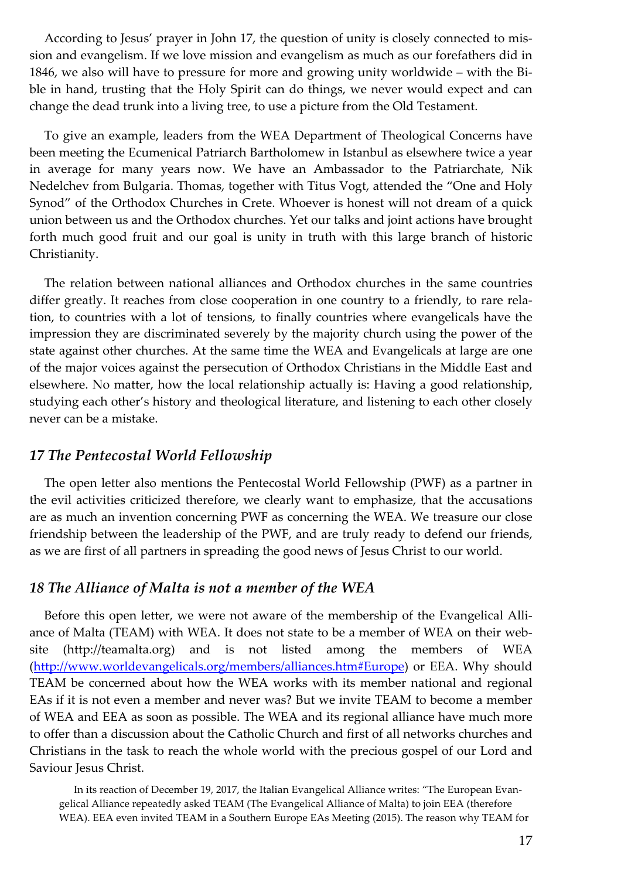According to Jesus' prayer in John 17, the question of unity is closely connected to mission and evangelism. If we love mission and evangelism as much as our forefathers did in 1846, we also will have to pressure for more and growing unity worldwide – with the Bible in hand, trusting that the Holy Spirit can do things, we never would expect and can change the dead trunk into a living tree, to use a picture from the Old Testament.

To give an example, leaders from the WEA Department of Theological Concerns have been meeting the Ecumenical Patriarch Bartholomew in Istanbul as elsewhere twice a year in average for many years now. We have an Ambassador to the Patriarchate, Nik Nedelchev from Bulgaria. Thomas, together with Titus Vogt, attended the "One and Holy Synod" of the Orthodox Churches in Crete. Whoever is honest will not dream of a quick union between us and the Orthodox churches. Yet our talks and joint actions have brought forth much good fruit and our goal is unity in truth with this large branch of historic Christianity.

The relation between national alliances and Orthodox churches in the same countries differ greatly. It reaches from close cooperation in one country to a friendly, to rare relation, to countries with a lot of tensions, to finally countries where evangelicals have the impression they are discriminated severely by the majority church using the power of the state against other churches. At the same time the WEA and Evangelicals at large are one of the major voices against the persecution of Orthodox Christians in the Middle East and elsewhere. No matter, how the local relationship actually is: Having a good relationship, studying each other's history and theological literature, and listening to each other closely never can be a mistake.

#### *17 The Pentecostal World Fellowship*

The open letter also mentions the Pentecostal World Fellowship (PWF) as a partner in the evil activities criticized therefore, we clearly want to emphasize, that the accusations are as much an invention concerning PWF as concerning the WEA. We treasure our close friendship between the leadership of the PWF, and are truly ready to defend our friends, as we are first of all partners in spreading the good news of Jesus Christ to our world.

#### *18 The Alliance of Malta is not a member of the WEA*

Before this open letter, we were not aware of the membership of the Evangelical Alliance of Malta (TEAM) with WEA. It does not state to be a member of WEA on their website (http://teamalta.org) and is not listed among the members of WEA (http://www.worldevangelicals.org/members/alliances.htm#Europe) or EEA. Why should TEAM be concerned about how the WEA works with its member national and regional EAs if it is not even a member and never was? But we invite TEAM to become a member of WEA and EEA as soon as possible. The WEA and its regional alliance have much more to offer than a discussion about the Catholic Church and first of all networks churches and Christians in the task to reach the whole world with the precious gospel of our Lord and Saviour Jesus Christ.

In its reaction of December 19, 2017, the Italian Evangelical Alliance writes: "The European Evangelical Alliance repeatedly asked TEAM (The Evangelical Alliance of Malta) to join EEA (therefore WEA). EEA even invited TEAM in a Southern Europe EAs Meeting (2015). The reason why TEAM for